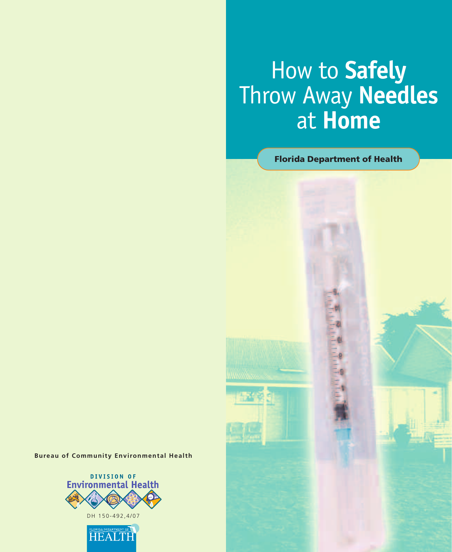## How to **Safely** Throw Away **Needles** at **Home**

**Florida Department of Health**

**Bureau of Community Environmental Health**